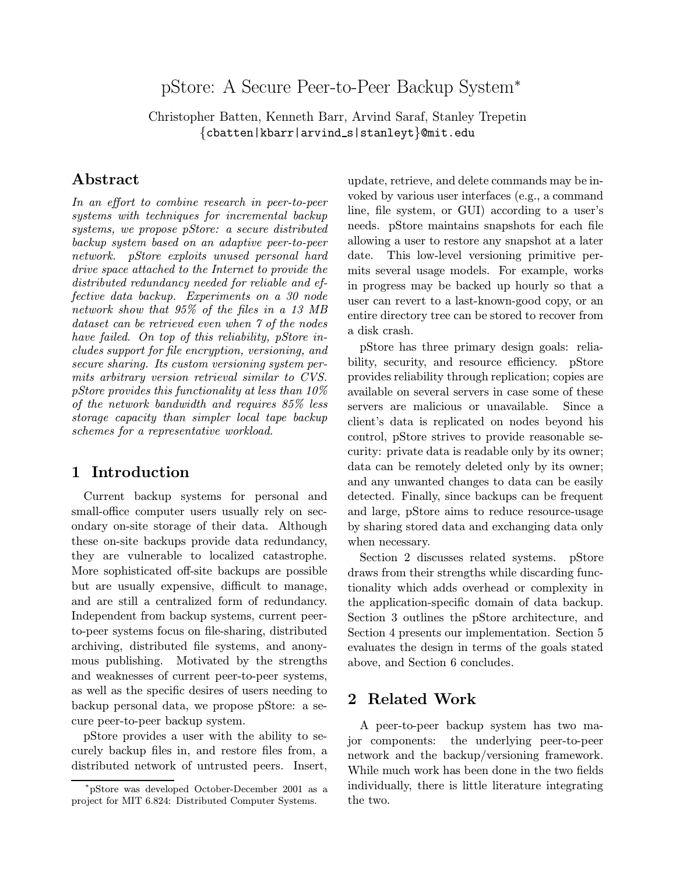# pStore: A Secure Peer-to-Peer Backup System<sup>∗</sup>

Christopher Batten, Kenneth Barr, Arvind Saraf, Stanley Trepetin {cbatten|kbarr|arvind s|stanleyt}@mit.edu

# Abstract

In an effort to combine research in peer-to-peer systems with techniques for incremental backup systems, we propose pStore: a secure distributed backup system based on an adaptive peer-to-peer network. pStore exploits unused personal hard drive space attached to the Internet to provide the distributed redundancy needed for reliable and effective data backup. Experiments on a 30 node network show that 95% of the files in a 13 MB dataset can be retrieved even when 7 of the nodes have failed. On top of this reliability, pStore includes support for file encryption, versioning, and secure sharing. Its custom versioning system permits arbitrary version retrieval similar to CVS. pStore provides this functionality at less than 10% of the network bandwidth and requires 85% less storage capacity than simpler local tape backup schemes for a representative workload.

### 1 Introduction

Current backup systems for personal and small-office computer users usually rely on secondary on-site storage of their data. Although these on-site backups provide data redundancy, they are vulnerable to localized catastrophe. More sophisticated off-site backups are possible but are usually expensive, difficult to manage, and are still a centralized form of redundancy. Independent from backup systems, current peerto-peer systems focus on file-sharing, distributed archiving, distributed file systems, and anonymous publishing. Motivated by the strengths and weaknesses of current peer-to-peer systems, as well as the specific desires of users needing to backup personal data, we propose pStore: a secure peer-to-peer backup system.

pStore provides a user with the ability to securely backup files in, and restore files from, a distributed network of untrusted peers. Insert, update, retrieve, and delete commands may be invoked by various user interfaces (e.g., a command line, file system, or GUI) according to a user's needs. pStore maintains snapshots for each file allowing a user to restore any snapshot at a later date. This low-level versioning primitive permits several usage models. For example, works in progress may be backed up hourly so that a user can revert to a last-known-good copy, or an entire directory tree can be stored to recover from a disk crash.

pStore has three primary design goals: reliability, security, and resource efficiency. pStore provides reliability through replication; copies are available on several servers in case some of these servers are malicious or unavailable. Since a client's data is replicated on nodes beyond his control, pStore strives to provide reasonable security: private data is readable only by its owner; data can be remotely deleted only by its owner; and any unwanted changes to data can be easily detected. Finally, since backups can be frequent and large, pStore aims to reduce resource-usage by sharing stored data and exchanging data only when necessary.

Section 2 discusses related systems. pStore draws from their strengths while discarding functionality which adds overhead or complexity in the application-specific domain of data backup. Section 3 outlines the pStore architecture, and Section 4 presents our implementation. Section 5 evaluates the design in terms of the goals stated above, and Section 6 concludes.

# 2 Related Work

A peer-to-peer backup system has two major components: the underlying peer-to-peer network and the backup/versioning framework. While much work has been done in the two fields individually, there is little literature integrating the two.

<sup>∗</sup>pStore was developed October-December 2001 as a project for MIT 6.824: Distributed Computer Systems.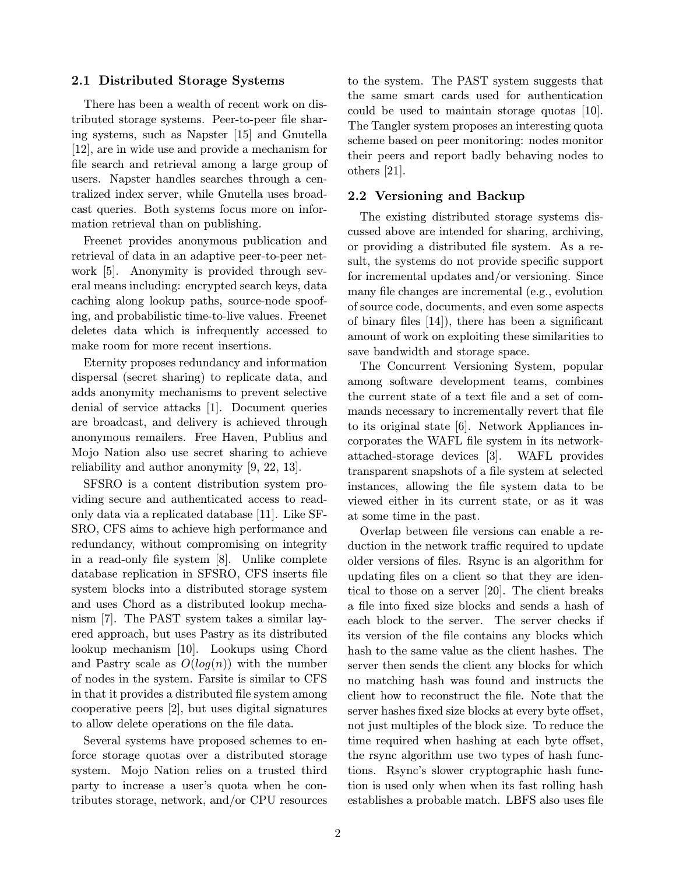#### 2.1 Distributed Storage Systems

There has been a wealth of recent work on distributed storage systems. Peer-to-peer file sharing systems, such as Napster [15] and Gnutella [12], are in wide use and provide a mechanism for file search and retrieval among a large group of users. Napster handles searches through a centralized index server, while Gnutella uses broadcast queries. Both systems focus more on information retrieval than on publishing.

Freenet provides anonymous publication and retrieval of data in an adaptive peer-to-peer network [5]. Anonymity is provided through several means including: encrypted search keys, data caching along lookup paths, source-node spoofing, and probabilistic time-to-live values. Freenet deletes data which is infrequently accessed to make room for more recent insertions.

Eternity proposes redundancy and information dispersal (secret sharing) to replicate data, and adds anonymity mechanisms to prevent selective denial of service attacks [1]. Document queries are broadcast, and delivery is achieved through anonymous remailers. Free Haven, Publius and Mojo Nation also use secret sharing to achieve reliability and author anonymity [9, 22, 13].

SFSRO is a content distribution system providing secure and authenticated access to readonly data via a replicated database [11]. Like SF-SRO, CFS aims to achieve high performance and redundancy, without compromising on integrity in a read-only file system [8]. Unlike complete database replication in SFSRO, CFS inserts file system blocks into a distributed storage system and uses Chord as a distributed lookup mechanism [7]. The PAST system takes a similar layered approach, but uses Pastry as its distributed lookup mechanism [10]. Lookups using Chord and Pastry scale as  $O(log(n))$  with the number of nodes in the system. Farsite is similar to CFS in that it provides a distributed file system among cooperative peers [2], but uses digital signatures to allow delete operations on the file data.

Several systems have proposed schemes to enforce storage quotas over a distributed storage system. Mojo Nation relies on a trusted third party to increase a user's quota when he contributes storage, network, and/or CPU resources

to the system. The PAST system suggests that the same smart cards used for authentication could be used to maintain storage quotas [10]. The Tangler system proposes an interesting quota scheme based on peer monitoring: nodes monitor their peers and report badly behaving nodes to others [21].

#### 2.2 Versioning and Backup

The existing distributed storage systems discussed above are intended for sharing, archiving, or providing a distributed file system. As a result, the systems do not provide specific support for incremental updates and/or versioning. Since many file changes are incremental (e.g., evolution of source code, documents, and even some aspects of binary files [14]), there has been a significant amount of work on exploiting these similarities to save bandwidth and storage space.

The Concurrent Versioning System, popular among software development teams, combines the current state of a text file and a set of commands necessary to incrementally revert that file to its original state [6]. Network Appliances incorporates the WAFL file system in its networkattached-storage devices [3]. WAFL provides transparent snapshots of a file system at selected instances, allowing the file system data to be viewed either in its current state, or as it was at some time in the past.

Overlap between file versions can enable a reduction in the network traffic required to update older versions of files. Rsync is an algorithm for updating files on a client so that they are identical to those on a server [20]. The client breaks a file into fixed size blocks and sends a hash of each block to the server. The server checks if its version of the file contains any blocks which hash to the same value as the client hashes. The server then sends the client any blocks for which no matching hash was found and instructs the client how to reconstruct the file. Note that the server hashes fixed size blocks at every byte offset, not just multiples of the block size. To reduce the time required when hashing at each byte offset, the rsync algorithm use two types of hash functions. Rsync's slower cryptographic hash function is used only when when its fast rolling hash establishes a probable match. LBFS also uses file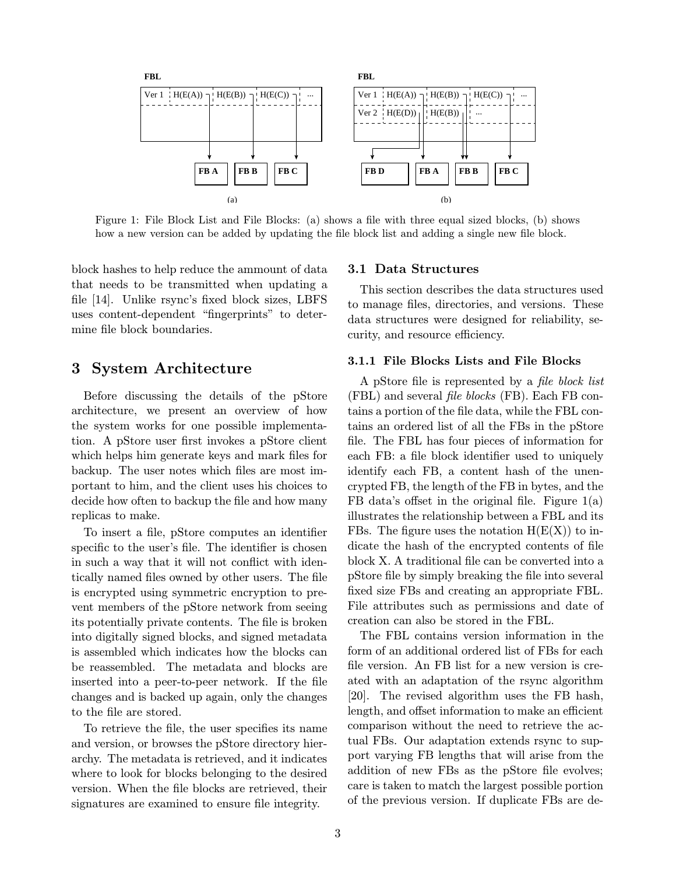

Figure 1: File Block List and File Blocks: (a) shows a file with three equal sized blocks, (b) shows how a new version can be added by updating the file block list and adding a single new file block.

block hashes to help reduce the ammount of data that needs to be transmitted when updating a file [14]. Unlike rsync's fixed block sizes, LBFS uses content-dependent "fingerprints" to determine file block boundaries.

### 3 System Architecture

Before discussing the details of the pStore architecture, we present an overview of how the system works for one possible implementation. A pStore user first invokes a pStore client which helps him generate keys and mark files for backup. The user notes which files are most important to him, and the client uses his choices to decide how often to backup the file and how many replicas to make.

To insert a file, pStore computes an identifier specific to the user's file. The identifier is chosen in such a way that it will not conflict with identically named files owned by other users. The file is encrypted using symmetric encryption to prevent members of the pStore network from seeing its potentially private contents. The file is broken into digitally signed blocks, and signed metadata is assembled which indicates how the blocks can be reassembled. The metadata and blocks are inserted into a peer-to-peer network. If the file changes and is backed up again, only the changes to the file are stored.

To retrieve the file, the user specifies its name and version, or browses the pStore directory hierarchy. The metadata is retrieved, and it indicates where to look for blocks belonging to the desired version. When the file blocks are retrieved, their signatures are examined to ensure file integrity.

#### 3.1 Data Structures

This section describes the data structures used to manage files, directories, and versions. These data structures were designed for reliability, security, and resource efficiency.

#### 3.1.1 File Blocks Lists and File Blocks

A pStore file is represented by a file block list (FBL) and several file blocks (FB). Each FB contains a portion of the file data, while the FBL contains an ordered list of all the FBs in the pStore file. The FBL has four pieces of information for each FB: a file block identifier used to uniquely identify each FB, a content hash of the unencrypted FB, the length of the FB in bytes, and the FB data's offset in the original file. Figure  $1(a)$ illustrates the relationship between a FBL and its FBs. The figure uses the notation  $H(E(X))$  to indicate the hash of the encrypted contents of file block X. A traditional file can be converted into a pStore file by simply breaking the file into several fixed size FBs and creating an appropriate FBL. File attributes such as permissions and date of creation can also be stored in the FBL.

The FBL contains version information in the form of an additional ordered list of FBs for each file version. An FB list for a new version is created with an adaptation of the rsync algorithm [20]. The revised algorithm uses the FB hash, length, and offset information to make an efficient comparison without the need to retrieve the actual FBs. Our adaptation extends rsync to support varying FB lengths that will arise from the addition of new FBs as the pStore file evolves; care is taken to match the largest possible portion of the previous version. If duplicate FBs are de-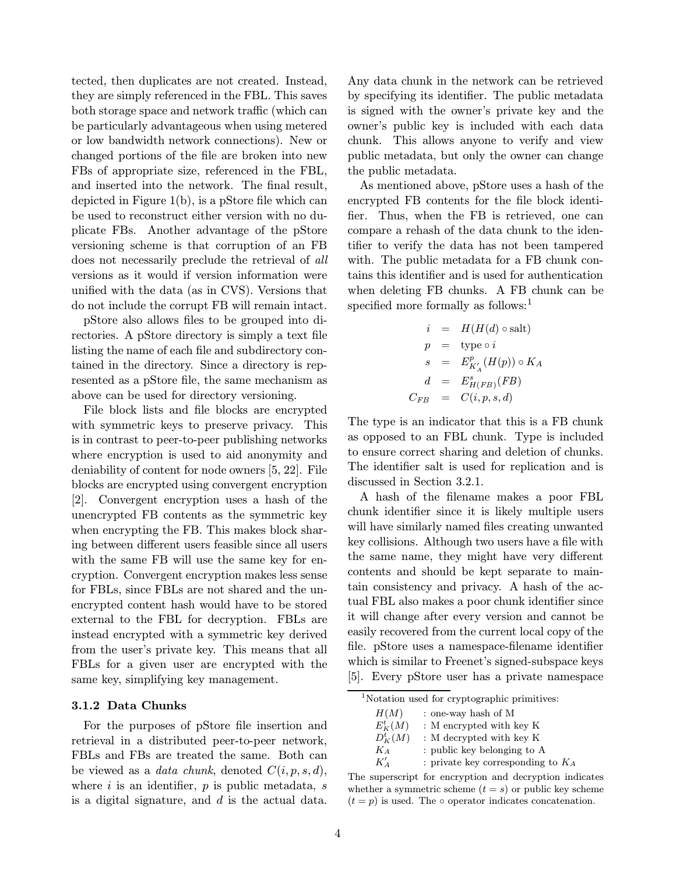tected, then duplicates are not created. Instead, they are simply referenced in the FBL. This saves both storage space and network traffic (which can be particularly advantageous when using metered or low bandwidth network connections). New or changed portions of the file are broken into new FBs of appropriate size, referenced in the FBL, and inserted into the network. The final result, depicted in Figure 1(b), is a pStore file which can be used to reconstruct either version with no duplicate FBs. Another advantage of the pStore versioning scheme is that corruption of an FB does not necessarily preclude the retrieval of all versions as it would if version information were unified with the data (as in CVS). Versions that do not include the corrupt FB will remain intact.

pStore also allows files to be grouped into directories. A pStore directory is simply a text file listing the name of each file and subdirectory contained in the directory. Since a directory is represented as a pStore file, the same mechanism as above can be used for directory versioning.

File block lists and file blocks are encrypted with symmetric keys to preserve privacy. This is in contrast to peer-to-peer publishing networks where encryption is used to aid anonymity and deniability of content for node owners [5, 22]. File blocks are encrypted using convergent encryption [2]. Convergent encryption uses a hash of the unencrypted FB contents as the symmetric key when encrypting the FB. This makes block sharing between different users feasible since all users with the same FB will use the same key for encryption. Convergent encryption makes less sense for FBLs, since FBLs are not shared and the unencrypted content hash would have to be stored external to the FBL for decryption. FBLs are instead encrypted with a symmetric key derived from the user's private key. This means that all FBLs for a given user are encrypted with the same key, simplifying key management.

#### 3.1.2 Data Chunks

For the purposes of pStore file insertion and retrieval in a distributed peer-to-peer network, FBLs and FBs are treated the same. Both can be viewed as a *data chunk*, denoted  $C(i, p, s, d)$ , where  $i$  is an identifier,  $p$  is public metadata,  $s$ is a digital signature, and  $d$  is the actual data.

Any data chunk in the network can be retrieved by specifying its identifier. The public metadata is signed with the owner's private key and the owner's public key is included with each data chunk. This allows anyone to verify and view public metadata, but only the owner can change the public metadata.

As mentioned above, pStore uses a hash of the encrypted FB contents for the file block identifier. Thus, when the FB is retrieved, one can compare a rehash of the data chunk to the identifier to verify the data has not been tampered with. The public metadata for a FB chunk contains this identifier and is used for authentication when deleting FB chunks. A FB chunk can be specified more formally as follows:<sup>1</sup>

$$
i = H(H(d) \circ \text{salt})
$$
  
\n
$$
p = \text{type } \circ i
$$
  
\n
$$
s = E_{K'_A}^p(H(p)) \circ K_A
$$
  
\n
$$
d = E_{H(FB)}^s(FB)
$$
  
\n
$$
C_{FB} = C(i, p, s, d)
$$

The type is an indicator that this is a FB chunk as opposed to an FBL chunk. Type is included to ensure correct sharing and deletion of chunks. The identifier salt is used for replication and is discussed in Section 3.2.1.

A hash of the filename makes a poor FBL chunk identifier since it is likely multiple users will have similarly named files creating unwanted key collisions. Although two users have a file with the same name, they might have very different contents and should be kept separate to maintain consistency and privacy. A hash of the actual FBL also makes a poor chunk identifier since it will change after every version and cannot be easily recovered from the current local copy of the file. pStore uses a namespace-filename identifier which is similar to Freenet's signed-subspace keys [5]. Every pStore user has a private namespace

 $^{1}\rm{Notation}$  used for cryptographic primitives:

 $H(M)$  : one-way hash of M

 $E_I^t$  $\colon$  M encrypted with key K

 $D^t_I$ : M decrypted with key K

 $K_A$  : public key belonging to A

 $K'_A$ : private key corresponding to  $K_A$ 

The superscript for encryption and decryption indicates whether a symmetric scheme  $(t = s)$  or public key scheme  $(t = p)$  is used. The  $\circ$  operator indicates concatenation.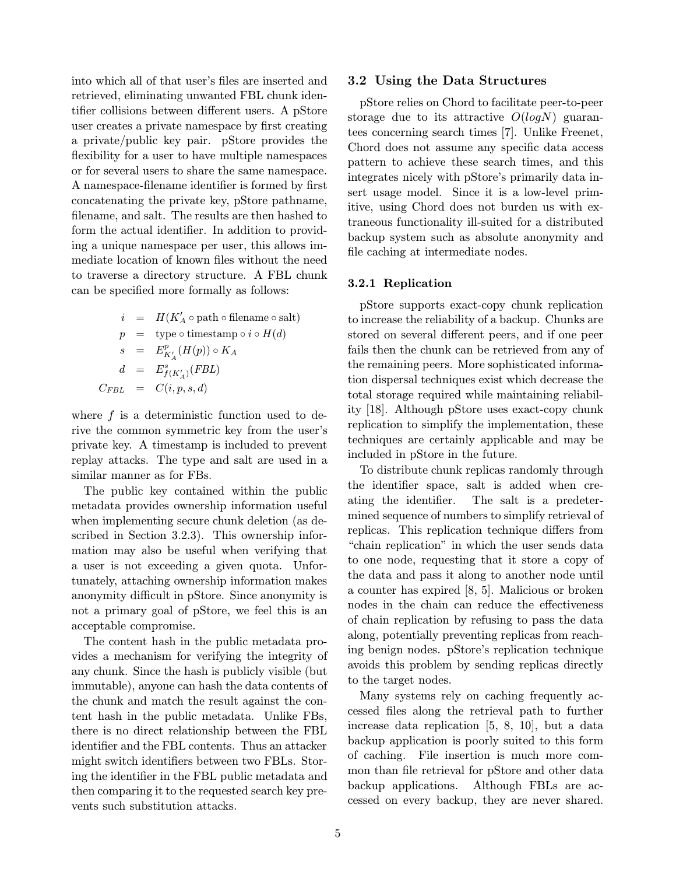into which all of that user's files are inserted and retrieved, eliminating unwanted FBL chunk identifier collisions between different users. A pStore user creates a private namespace by first creating a private/public key pair. pStore provides the flexibility for a user to have multiple namespaces or for several users to share the same namespace. A namespace-filename identifier is formed by first concatenating the private key, pStore pathname, filename, and salt. The results are then hashed to form the actual identifier. In addition to providing a unique namespace per user, this allows immediate location of known files without the need to traverse a directory structure. A FBL chunk can be specified more formally as follows:

$$
i = H(K'_A \circ \text{path} \circ \text{filename} \circ \text{salt})
$$
  
\n
$$
p = \text{type} \circ \text{timestamp} \circ i \circ H(d)
$$
  
\n
$$
s = E_{K'_A}^p(H(p)) \circ K_A
$$
  
\n
$$
d = E_{f(K'_A)}^s(FBL)
$$
  
\n
$$
C_{FBL} = C(i, p, s, d)
$$

where  $f$  is a deterministic function used to derive the common symmetric key from the user's private key. A timestamp is included to prevent replay attacks. The type and salt are used in a similar manner as for FBs.

The public key contained within the public metadata provides ownership information useful when implementing secure chunk deletion (as described in Section 3.2.3). This ownership information may also be useful when verifying that a user is not exceeding a given quota. Unfortunately, attaching ownership information makes anonymity difficult in pStore. Since anonymity is not a primary goal of pStore, we feel this is an acceptable compromise.

The content hash in the public metadata provides a mechanism for verifying the integrity of any chunk. Since the hash is publicly visible (but immutable), anyone can hash the data contents of the chunk and match the result against the content hash in the public metadata. Unlike FBs, there is no direct relationship between the FBL identifier and the FBL contents. Thus an attacker might switch identifiers between two FBLs. Storing the identifier in the FBL public metadata and then comparing it to the requested search key prevents such substitution attacks.

#### 3.2 Using the Data Structures

pStore relies on Chord to facilitate peer-to-peer storage due to its attractive  $O(logN)$  guarantees concerning search times [7]. Unlike Freenet, Chord does not assume any specific data access pattern to achieve these search times, and this integrates nicely with pStore's primarily data insert usage model. Since it is a low-level primitive, using Chord does not burden us with extraneous functionality ill-suited for a distributed backup system such as absolute anonymity and file caching at intermediate nodes.

#### 3.2.1 Replication

pStore supports exact-copy chunk replication to increase the reliability of a backup. Chunks are stored on several different peers, and if one peer fails then the chunk can be retrieved from any of the remaining peers. More sophisticated information dispersal techniques exist which decrease the total storage required while maintaining reliability [18]. Although pStore uses exact-copy chunk replication to simplify the implementation, these techniques are certainly applicable and may be included in pStore in the future.

To distribute chunk replicas randomly through the identifier space, salt is added when creating the identifier. The salt is a predetermined sequence of numbers to simplify retrieval of replicas. This replication technique differs from "chain replication" in which the user sends data to one node, requesting that it store a copy of the data and pass it along to another node until a counter has expired [8, 5]. Malicious or broken nodes in the chain can reduce the effectiveness of chain replication by refusing to pass the data along, potentially preventing replicas from reaching benign nodes. pStore's replication technique avoids this problem by sending replicas directly to the target nodes.

Many systems rely on caching frequently accessed files along the retrieval path to further increase data replication [5, 8, 10], but a data backup application is poorly suited to this form of caching. File insertion is much more common than file retrieval for pStore and other data backup applications. Although FBLs are accessed on every backup, they are never shared.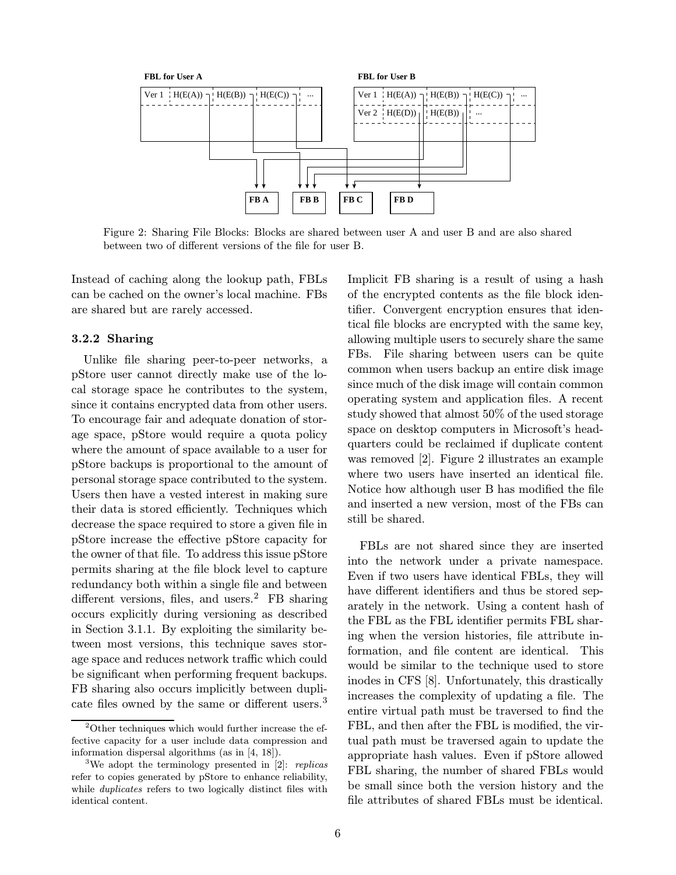

Figure 2: Sharing File Blocks: Blocks are shared between user A and user B and are also shared between two of different versions of the file for user B.

Instead of caching along the lookup path, FBLs can be cached on the owner's local machine. FBs are shared but are rarely accessed.

#### 3.2.2 Sharing

Unlike file sharing peer-to-peer networks, a pStore user cannot directly make use of the local storage space he contributes to the system, since it contains encrypted data from other users. To encourage fair and adequate donation of storage space, pStore would require a quota policy where the amount of space available to a user for pStore backups is proportional to the amount of personal storage space contributed to the system. Users then have a vested interest in making sure their data is stored efficiently. Techniques which decrease the space required to store a given file in pStore increase the effective pStore capacity for the owner of that file. To address this issue pStore permits sharing at the file block level to capture redundancy both within a single file and between different versions, files, and users.<sup>2</sup> FB sharing occurs explicitly during versioning as described in Section 3.1.1. By exploiting the similarity between most versions, this technique saves storage space and reduces network traffic which could be significant when performing frequent backups. FB sharing also occurs implicitly between duplicate files owned by the same or different users.<sup>3</sup> Implicit FB sharing is a result of using a hash of the encrypted contents as the file block identifier. Convergent encryption ensures that identical file blocks are encrypted with the same key, allowing multiple users to securely share the same FBs. File sharing between users can be quite common when users backup an entire disk image since much of the disk image will contain common operating system and application files. A recent study showed that almost 50% of the used storage space on desktop computers in Microsoft's headquarters could be reclaimed if duplicate content was removed [2]. Figure 2 illustrates an example where two users have inserted an identical file. Notice how although user B has modified the file and inserted a new version, most of the FBs can still be shared.

FBLs are not shared since they are inserted into the network under a private namespace. Even if two users have identical FBLs, they will have different identifiers and thus be stored separately in the network. Using a content hash of the FBL as the FBL identifier permits FBL sharing when the version histories, file attribute information, and file content are identical. This would be similar to the technique used to store inodes in CFS [8]. Unfortunately, this drastically increases the complexity of updating a file. The entire virtual path must be traversed to find the FBL, and then after the FBL is modified, the virtual path must be traversed again to update the appropriate hash values. Even if pStore allowed FBL sharing, the number of shared FBLs would be small since both the version history and the file attributes of shared FBLs must be identical.

 $2$ Other techniques which would further increase the effective capacity for a user include data compression and information dispersal algorithms (as in [4, 18]).

<sup>&</sup>lt;sup>3</sup>We adopt the terminology presented in [2]: *replicas* refer to copies generated by pStore to enhance reliability, while *duplicates* refers to two logically distinct files with identical content.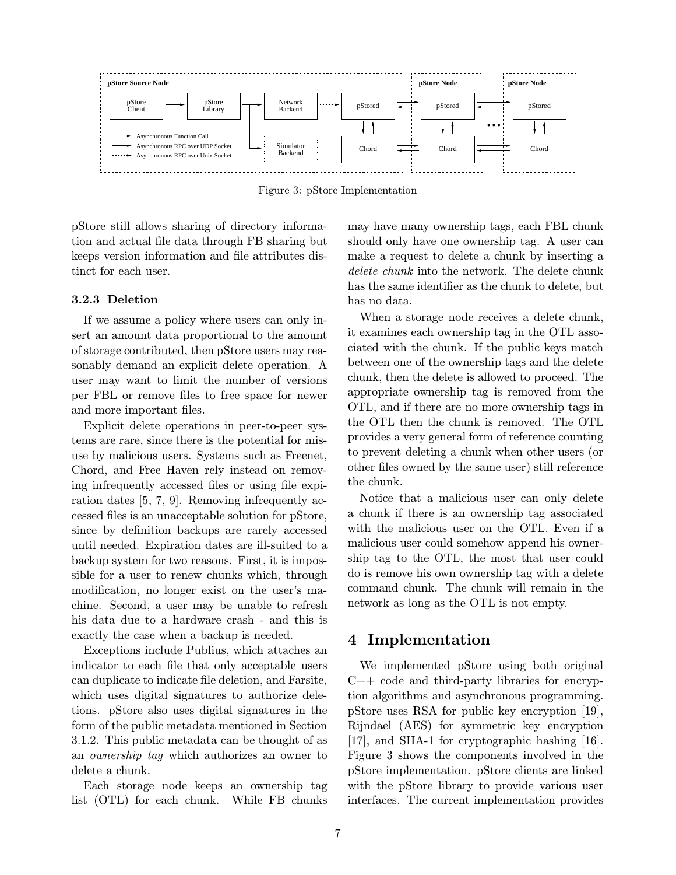

Figure 3: pStore Implementation

pStore still allows sharing of directory information and actual file data through FB sharing but keeps version information and file attributes distinct for each user.

#### 3.2.3 Deletion

If we assume a policy where users can only insert an amount data proportional to the amount of storage contributed, then pStore users may reasonably demand an explicit delete operation. A user may want to limit the number of versions per FBL or remove files to free space for newer and more important files.

Explicit delete operations in peer-to-peer systems are rare, since there is the potential for misuse by malicious users. Systems such as Freenet, Chord, and Free Haven rely instead on removing infrequently accessed files or using file expiration dates [5, 7, 9]. Removing infrequently accessed files is an unacceptable solution for pStore, since by definition backups are rarely accessed until needed. Expiration dates are ill-suited to a backup system for two reasons. First, it is impossible for a user to renew chunks which, through modification, no longer exist on the user's machine. Second, a user may be unable to refresh his data due to a hardware crash - and this is exactly the case when a backup is needed.

Exceptions include Publius, which attaches an indicator to each file that only acceptable users can duplicate to indicate file deletion, and Farsite, which uses digital signatures to authorize deletions. pStore also uses digital signatures in the form of the public metadata mentioned in Section 3.1.2. This public metadata can be thought of as an ownership tag which authorizes an owner to delete a chunk.

Each storage node keeps an ownership tag list (OTL) for each chunk. While FB chunks may have many ownership tags, each FBL chunk should only have one ownership tag. A user can make a request to delete a chunk by inserting a delete chunk into the network. The delete chunk has the same identifier as the chunk to delete, but has no data.

When a storage node receives a delete chunk, it examines each ownership tag in the OTL associated with the chunk. If the public keys match between one of the ownership tags and the delete chunk, then the delete is allowed to proceed. The appropriate ownership tag is removed from the OTL, and if there are no more ownership tags in the OTL then the chunk is removed. The OTL provides a very general form of reference counting to prevent deleting a chunk when other users (or other files owned by the same user) still reference the chunk.

Notice that a malicious user can only delete a chunk if there is an ownership tag associated with the malicious user on the OTL. Even if a malicious user could somehow append his ownership tag to the OTL, the most that user could do is remove his own ownership tag with a delete command chunk. The chunk will remain in the network as long as the OTL is not empty.

### 4 Implementation

We implemented pStore using both original  $C++$  code and third-party libraries for encryption algorithms and asynchronous programming. pStore uses RSA for public key encryption [19], Rijndael (AES) for symmetric key encryption [17], and SHA-1 for cryptographic hashing [16]. Figure 3 shows the components involved in the pStore implementation. pStore clients are linked with the pStore library to provide various user interfaces. The current implementation provides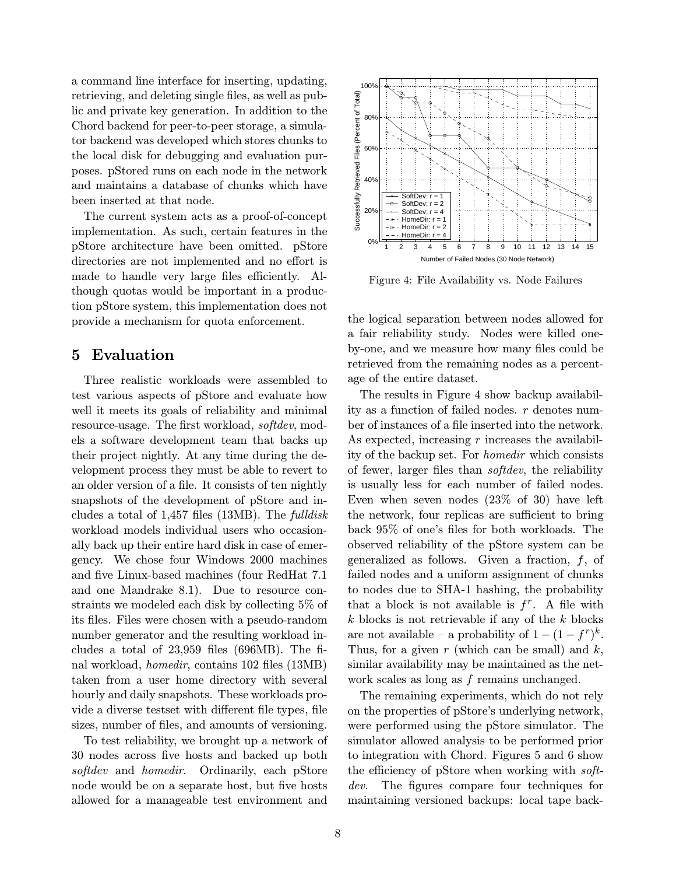a command line interface for inserting, updating, retrieving, and deleting single files, as well as public and private key generation. In addition to the Chord backend for peer-to-peer storage, a simulator backend was developed which stores chunks to the local disk for debugging and evaluation purposes. pStored runs on each node in the network and maintains a database of chunks which have been inserted at that node.

The current system acts as a proof-of-concept implementation. As such, certain features in the pStore architecture have been omitted. pStore directories are not implemented and no effort is made to handle very large files efficiently. Although quotas would be important in a production pStore system, this implementation does not provide a mechanism for quota enforcement.

### 5 Evaluation

Three realistic workloads were assembled to test various aspects of pStore and evaluate how well it meets its goals of reliability and minimal resource-usage. The first workload, softdev, models a software development team that backs up their project nightly. At any time during the development process they must be able to revert to an older version of a file. It consists of ten nightly snapshots of the development of pStore and includes a total of  $1,457$  files  $(13MB)$ . The *fulldisk* workload models individual users who occasionally back up their entire hard disk in case of emergency. We chose four Windows 2000 machines and five Linux-based machines (four RedHat 7.1 and one Mandrake 8.1). Due to resource constraints we modeled each disk by collecting 5% of its files. Files were chosen with a pseudo-random number generator and the resulting workload includes a total of 23,959 files (696MB). The final workload, homedir, contains 102 files (13MB) taken from a user home directory with several hourly and daily snapshots. These workloads provide a diverse testset with different file types, file sizes, number of files, and amounts of versioning.

To test reliability, we brought up a network of 30 nodes across five hosts and backed up both softdev and homedir. Ordinarily, each pStore node would be on a separate host, but five hosts allowed for a manageable test environment and



Figure 4: File Availability vs. Node Failures

the logical separation between nodes allowed for a fair reliability study. Nodes were killed oneby-one, and we measure how many files could be retrieved from the remaining nodes as a percentage of the entire dataset.

The results in Figure 4 show backup availability as a function of failed nodes.  $r$  denotes number of instances of a file inserted into the network. As expected, increasing r increases the availability of the backup set. For homedir which consists of fewer, larger files than softdev, the reliability is usually less for each number of failed nodes. Even when seven nodes (23% of 30) have left the network, four replicas are sufficient to bring back 95% of one's files for both workloads. The observed reliability of the pStore system can be generalized as follows. Given a fraction,  $f$ , of failed nodes and a uniform assignment of chunks to nodes due to SHA-1 hashing, the probability that a block is not available is  $f^r$ . A file with  $k$  blocks is not retrievable if any of the  $k$  blocks are not available – a probability of  $1 - (1 - f^r)^k$ . Thus, for a given  $r$  (which can be small) and  $k$ , similar availability may be maintained as the network scales as long as  $f$  remains unchanged.

The remaining experiments, which do not rely on the properties of pStore's underlying network, were performed using the pStore simulator. The simulator allowed analysis to be performed prior to integration with Chord. Figures 5 and 6 show the efficiency of pStore when working with softdev. The figures compare four techniques for maintaining versioned backups: local tape back-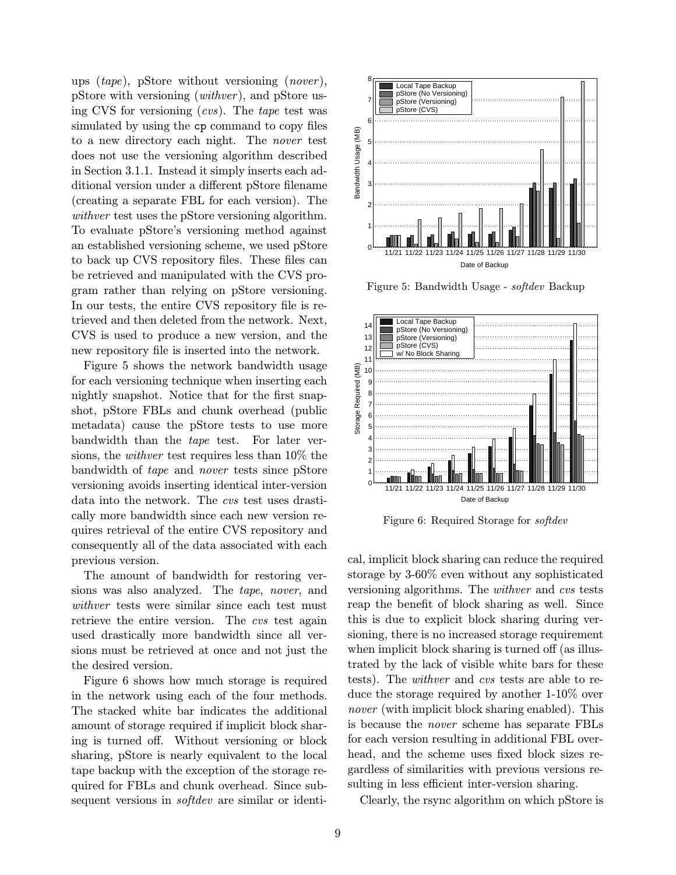ups  $(tape)$ , pStore without versioning  $(nover)$ , pStore with versioning (withver ), and pStore using CVS for versioning (cvs). The tape test was simulated by using the cp command to copy files to a new directory each night. The nover test does not use the versioning algorithm described in Section 3.1.1. Instead it simply inserts each additional version under a different pStore filename (creating a separate FBL for each version). The withver test uses the pStore versioning algorithm. To evaluate pStore's versioning method against an established versioning scheme, we used pStore to back up CVS repository files. These files can be retrieved and manipulated with the CVS program rather than relying on pStore versioning. In our tests, the entire CVS repository file is retrieved and then deleted from the network. Next, CVS is used to produce a new version, and the new repository file is inserted into the network.

Figure 5 shows the network bandwidth usage for each versioning technique when inserting each nightly snapshot. Notice that for the first snapshot, pStore FBLs and chunk overhead (public metadata) cause the pStore tests to use more bandwidth than the tape test. For later versions, the withver test requires less than 10% the bandwidth of tape and nover tests since pStore versioning avoids inserting identical inter-version data into the network. The cvs test uses drastically more bandwidth since each new version requires retrieval of the entire CVS repository and consequently all of the data associated with each previous version.

The amount of bandwidth for restoring versions was also analyzed. The tape, nover, and withver tests were similar since each test must retrieve the entire version. The cvs test again used drastically more bandwidth since all versions must be retrieved at once and not just the the desired version.

Figure 6 shows how much storage is required in the network using each of the four methods. The stacked white bar indicates the additional amount of storage required if implicit block sharing is turned off. Without versioning or block sharing, pStore is nearly equivalent to the local tape backup with the exception of the storage required for FBLs and chunk overhead. Since subsequent versions in *softdev* are similar or identi-



Figure 5: Bandwidth Usage - softdev Backup



Figure 6: Required Storage for softdev

cal, implicit block sharing can reduce the required storage by 3-60% even without any sophisticated versioning algorithms. The withver and cvs tests reap the benefit of block sharing as well. Since this is due to explicit block sharing during versioning, there is no increased storage requirement when implicit block sharing is turned off (as illustrated by the lack of visible white bars for these tests). The withver and cvs tests are able to reduce the storage required by another 1-10% over nover (with implicit block sharing enabled). This is because the nover scheme has separate FBLs for each version resulting in additional FBL overhead, and the scheme uses fixed block sizes regardless of similarities with previous versions resulting in less efficient inter-version sharing.

Clearly, the rsync algorithm on which pStore is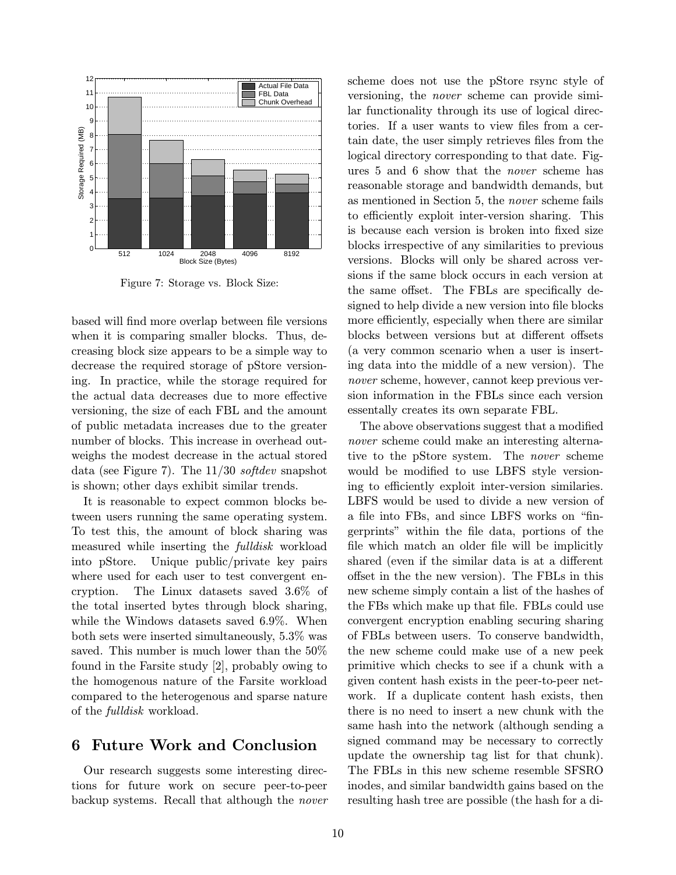

Figure 7: Storage vs. Block Size:

based will find more overlap between file versions when it is comparing smaller blocks. Thus, decreasing block size appears to be a simple way to decrease the required storage of pStore versioning. In practice, while the storage required for the actual data decreases due to more effective versioning, the size of each FBL and the amount of public metadata increases due to the greater number of blocks. This increase in overhead outweighs the modest decrease in the actual stored data (see Figure 7). The  $11/30$  softdev snapshot is shown; other days exhibit similar trends.

It is reasonable to expect common blocks between users running the same operating system. To test this, the amount of block sharing was measured while inserting the fulldisk workload into pStore. Unique public/private key pairs where used for each user to test convergent encryption. The Linux datasets saved 3.6% of the total inserted bytes through block sharing, while the Windows datasets saved 6.9%. When both sets were inserted simultaneously, 5.3% was saved. This number is much lower than the 50% found in the Farsite study [2], probably owing to the homogenous nature of the Farsite workload compared to the heterogenous and sparse nature of the fulldisk workload.

### 6 Future Work and Conclusion

Our research suggests some interesting directions for future work on secure peer-to-peer backup systems. Recall that although the nover scheme does not use the pStore rsync style of versioning, the nover scheme can provide similar functionality through its use of logical directories. If a user wants to view files from a certain date, the user simply retrieves files from the logical directory corresponding to that date. Figures 5 and 6 show that the nover scheme has reasonable storage and bandwidth demands, but as mentioned in Section 5, the nover scheme fails to efficiently exploit inter-version sharing. This is because each version is broken into fixed size blocks irrespective of any similarities to previous versions. Blocks will only be shared across versions if the same block occurs in each version at the same offset. The FBLs are specifically designed to help divide a new version into file blocks more efficiently, especially when there are similar blocks between versions but at different offsets (a very common scenario when a user is inserting data into the middle of a new version). The nover scheme, however, cannot keep previous version information in the FBLs since each version essentally creates its own separate FBL.

The above observations suggest that a modified nover scheme could make an interesting alternative to the pStore system. The nover scheme would be modified to use LBFS style versioning to efficiently exploit inter-version similaries. LBFS would be used to divide a new version of a file into FBs, and since LBFS works on "fingerprints" within the file data, portions of the file which match an older file will be implicitly shared (even if the similar data is at a different offset in the the new version). The FBLs in this new scheme simply contain a list of the hashes of the FBs which make up that file. FBLs could use convergent encryption enabling securing sharing of FBLs between users. To conserve bandwidth, the new scheme could make use of a new peek primitive which checks to see if a chunk with a given content hash exists in the peer-to-peer network. If a duplicate content hash exists, then there is no need to insert a new chunk with the same hash into the network (although sending a signed command may be necessary to correctly update the ownership tag list for that chunk). The FBLs in this new scheme resemble SFSRO inodes, and similar bandwidth gains based on the resulting hash tree are possible (the hash for a di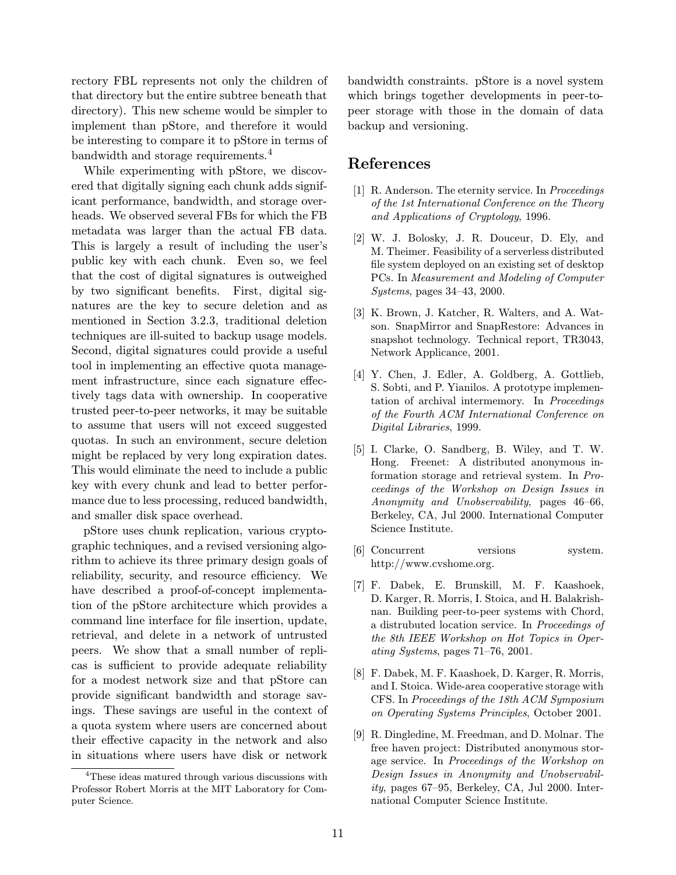rectory FBL represents not only the children of that directory but the entire subtree beneath that directory). This new scheme would be simpler to implement than pStore, and therefore it would be interesting to compare it to pStore in terms of bandwidth and storage requirements.<sup>4</sup>

While experimenting with pStore, we discovered that digitally signing each chunk adds significant performance, bandwidth, and storage overheads. We observed several FBs for which the FB metadata was larger than the actual FB data. This is largely a result of including the user's public key with each chunk. Even so, we feel that the cost of digital signatures is outweighed by two significant benefits. First, digital signatures are the key to secure deletion and as mentioned in Section 3.2.3, traditional deletion techniques are ill-suited to backup usage models. Second, digital signatures could provide a useful tool in implementing an effective quota management infrastructure, since each signature effectively tags data with ownership. In cooperative trusted peer-to-peer networks, it may be suitable to assume that users will not exceed suggested quotas. In such an environment, secure deletion might be replaced by very long expiration dates. This would eliminate the need to include a public key with every chunk and lead to better performance due to less processing, reduced bandwidth, and smaller disk space overhead.

pStore uses chunk replication, various cryptographic techniques, and a revised versioning algorithm to achieve its three primary design goals of reliability, security, and resource efficiency. We have described a proof-of-concept implementation of the pStore architecture which provides a command line interface for file insertion, update, retrieval, and delete in a network of untrusted peers. We show that a small number of replicas is sufficient to provide adequate reliability for a modest network size and that pStore can provide significant bandwidth and storage savings. These savings are useful in the context of a quota system where users are concerned about their effective capacity in the network and also in situations where users have disk or network bandwidth constraints. pStore is a novel system which brings together developments in peer-topeer storage with those in the domain of data backup and versioning.

# References

- [1] R. Anderson. The eternity service. In Proceedings of the 1st International Conference on the Theory and Applications of Cryptology, 1996.
- [2] W. J. Bolosky, J. R. Douceur, D. Ely, and M. Theimer. Feasibility of a serverless distributed file system deployed on an existing set of desktop PCs. In Measurement and Modeling of Computer Systems, pages 34–43, 2000.
- [3] K. Brown, J. Katcher, R. Walters, and A. Watson. SnapMirror and SnapRestore: Advances in snapshot technology. Technical report, TR3043, Network Applicance, 2001.
- [4] Y. Chen, J. Edler, A. Goldberg, A. Gottlieb, S. Sobti, and P. Yianilos. A prototype implementation of archival intermemory. In Proceedings of the Fourth ACM International Conference on Digital Libraries, 1999.
- [5] I. Clarke, O. Sandberg, B. Wiley, and T. W. Hong. Freenet: A distributed anonymous information storage and retrieval system. In Proceedings of the Workshop on Design Issues in Anonymity and Unobservability, pages 46–66, Berkeley, CA, Jul 2000. International Computer Science Institute.
- [6] Concurrent versions system. http://www.cvshome.org.
- [7] F. Dabek, E. Brunskill, M. F. Kaashoek, D. Karger, R. Morris, I. Stoica, and H. Balakrishnan. Building peer-to-peer systems with Chord, a distrubuted location service. In Proceedings of the 8th IEEE Workshop on Hot Topics in Operating Systems, pages 71–76, 2001.
- [8] F. Dabek, M. F. Kaashoek, D. Karger, R. Morris, and I. Stoica. Wide-area cooperative storage with CFS. In Proceedings of the 18th ACM Symposium on Operating Systems Principles, October 2001.
- [9] R. Dingledine, M. Freedman, and D. Molnar. The free haven project: Distributed anonymous storage service. In Proceedings of the Workshop on Design Issues in Anonymity and Unobservability, pages 67–95, Berkeley, CA, Jul 2000. International Computer Science Institute.

<sup>&</sup>lt;sup>4</sup>These ideas matured through various discussions with Professor Robert Morris at the MIT Laboratory for Computer Science.